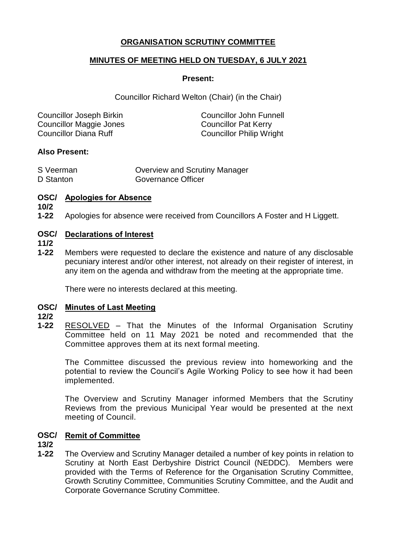# **ORGANISATION SCRUTINY COMMITTEE**

## **MINUTES OF MEETING HELD ON TUESDAY, 6 JULY 2021**

### **Present:**

Councillor Richard Welton (Chair) (in the Chair)

| <b>Councillor Joseph Birkin</b> | <b>Councillor John Funnell</b>  |
|---------------------------------|---------------------------------|
| Councillor Maggie Jones         | <b>Councillor Pat Kerry</b>     |
| Councillor Diana Ruff           | <b>Councillor Philip Wright</b> |

### **Also Present:**

| S Veerman | <b>Overview and Scrutiny Manager</b> |
|-----------|--------------------------------------|
| D Stanton | Governance Officer                   |

### **OSC/ Apologies for Absence**

**10/2**

**1-22** Apologies for absence were received from Councillors A Foster and H Liggett.

### **OSC/ Declarations of Interest**

**11/2**

**1-22** Members were requested to declare the existence and nature of any disclosable pecuniary interest and/or other interest, not already on their register of interest, in any item on the agenda and withdraw from the meeting at the appropriate time.

There were no interests declared at this meeting.

#### **OSC/ Minutes of Last Meeting**

**12/2**

**1-22** RESOLVED – That the Minutes of the Informal Organisation Scrutiny Committee held on 11 May 2021 be noted and recommended that the Committee approves them at its next formal meeting.

The Committee discussed the previous review into homeworking and the potential to review the Council's Agile Working Policy to see how it had been implemented.

The Overview and Scrutiny Manager informed Members that the Scrutiny Reviews from the previous Municipal Year would be presented at the next meeting of Council.

### **OSC/ Remit of Committee**

- **13/2**
- **1-22** The Overview and Scrutiny Manager detailed a number of key points in relation to Scrutiny at North East Derbyshire District Council (NEDDC). Members were provided with the Terms of Reference for the Organisation Scrutiny Committee, Growth Scrutiny Committee, Communities Scrutiny Committee, and the Audit and Corporate Governance Scrutiny Committee.